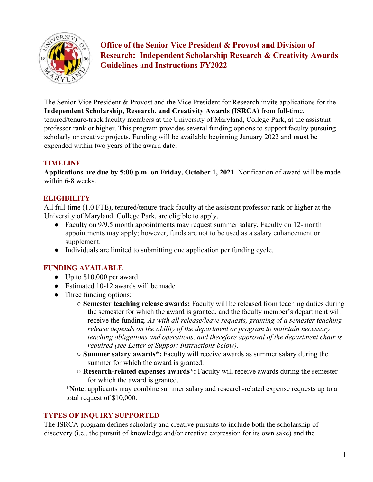

**Office of the Senior Vice President & Provost and Division of Research: Independent Scholarship Research & Creativity Awards Guidelines and Instructions FY2022** 

The Senior Vice President & Provost and the Vice President for Research invite applications for the **Independent Scholarship, Research, and Creativity Awards (ISRCA)** from full-time, tenured/tenure-track faculty members at the University of Maryland, College Park, at the assistant professor rank or higher. This program provides several funding options to support faculty pursuing scholarly or creative projects. Funding will be available beginning January 2022 and **must** be expended within two years of the award date.

### **TIMELINE**

**Applications are due by 5:00 p.m. on Friday, October 1, 2021**. Notification of award will be made within 6-8 weeks.

# **ELIGIBILITY**

All full-time (1.0 FTE), tenured/tenure-track faculty at the assistant professor rank or higher at the University of Maryland, College Park, are eligible to apply.

- Faculty on 9/9.5 month appointments may request summer salary. Faculty on 12-month appointments may apply; however, funds are not to be used as a salary enhancement or supplement.
- Individuals are limited to submitting one application per funding cycle.

# **FUNDING AVAILABLE**

- Up to \$10,000 per award
- Estimated 10-12 awards will be made
- Three funding options:
	- **Semester teaching release awards:** Faculty will be released from teaching duties during the semester for which the award is granted, and the faculty member's department will receive the funding. *As with all release/leave requests, granting of a semester teaching release depends on the ability of the department or program to maintain necessary teaching obligations and operations, and therefore approval of the department chair is required (see Letter of Support Instructions below).*
	- **Summer salary awards\*:** Faculty will receive awards as summer salary during the summer for which the award is granted.
	- **Research-related expenses awards\*:** Faculty will receive awards during the semester for which the award is granted.

\***Note**: applicants may combine summer salary and research-related expense requests up to a total request of \$10,000.

### **TYPES OF INQUIRY SUPPORTED**

The ISRCA program defines scholarly and creative pursuits to include both the scholarship of discovery (i.e., the pursuit of knowledge and/or creative expression for its own sake) and the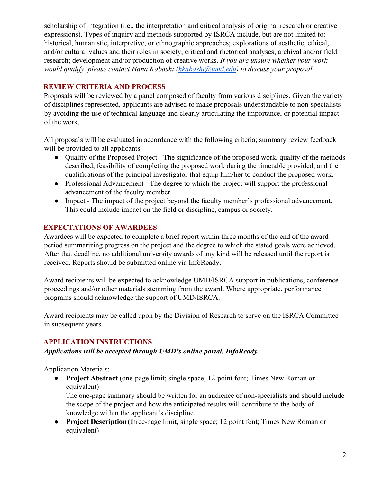scholarship of integration (i.e., the interpretation and critical analysis of original research or creative expressions). Types of inquiry and methods supported by ISRCA include, but are not limited to: historical, humanistic, interpretive, or ethnographic approaches; explorations of aesthetic, ethical, and/or cultural values and their roles in society; critical and rhetorical analyses; archival and/or field research; development and/or production of creative works. *If you are unsure whether your work would qualify, please contact Hana Kabashi (hkabashi@umd.edu) to discuss your proposal.* 

# **REVIEW CRITERIA AND PROCESS**

Proposals will be reviewed by a panel composed of faculty from various disciplines. Given the variety of disciplines represented, applicants are advised to make proposals understandable to non-specialists by avoiding the use of technical language and clearly articulating the importance, or potential impact of the work.

All proposals will be evaluated in accordance with the following criteria; summary review feedback will be provided to all applicants.

- Ouality of the Proposed Project The significance of the proposed work, quality of the methods described, feasibility of completing the proposed work during the timetable provided, and the qualifications of the principal investigator that equip him/her to conduct the proposed work.
- Professional Advancement The degree to which the project will support the professional advancement of the faculty member.
- Impact The impact of the project beyond the faculty member's professional advancement. This could include impact on the field or discipline, campus or society.

## **EXPECTATIONS OF AWARDEES**

Awardees will be expected to complete a brief report within three months of the end of the award period summarizing progress on the project and the degree to which the stated goals were achieved. After that deadline, no additional university awards of any kind will be released until the report is received. Reports should be submitted online via InfoReady.

Award recipients will be expected to acknowledge UMD/ISRCA support in publications, conference proceedings and/or other materials stemming from the award. Where appropriate, performance programs should acknowledge the support of UMD/ISRCA.

Award recipients may be called upon by the Division of Research to serve on the ISRCA Committee in subsequent years.

### **APPLICATION INSTRUCTIONS**

*Applications will be accepted through UMD's online portal, InfoReady.* 

Application Materials:

● **Project Abstract** (one-page limit; single space; 12-point font; Times New Roman or equivalent)

The one-page summary should be written for an audience of non-specialists and should include the scope of the project and how the anticipated results will contribute to the body of knowledge within the applicant's discipline.

● **Project Description**(three-page limit, single space; 12 point font; Times New Roman or equivalent)